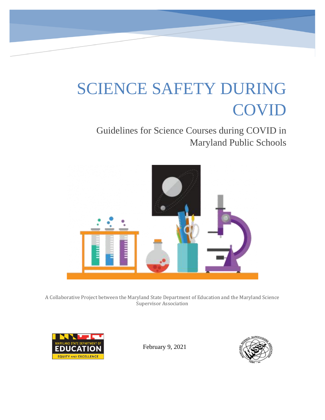# SCIENCE SAFETY DURING COVID

# Guidelines for Science Courses during COVID in Maryland Public Schools



A Collaborative Project between the Maryland State Department of Education and the Maryland Science Supervisor Association



February 9, 2021

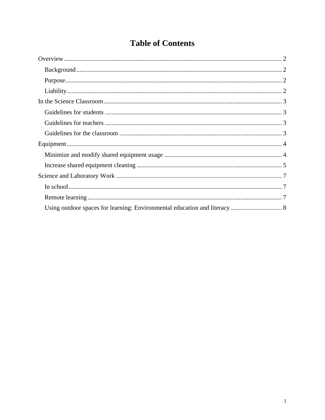# **Table of Contents**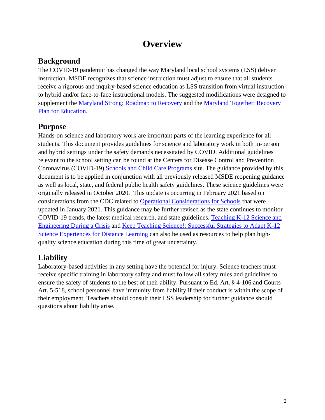## **Overview**

#### <span id="page-2-1"></span><span id="page-2-0"></span>**Background**

The COVID-19 pandemic has changed the way Maryland local school systems (LSS) deliver instruction. MSDE recognizes that science instruction must adjust to ensure that all students receive a rigorous and inquiry-based science education as LSS transition from virtual instruction to hybrid and/or face-to-face instructional models. The suggested modifications were designed to supplement the [Maryland Strong: Roadmap to Recovery](https://governor.maryland.gov/wp-content/uploads/2020/04/MD_Strong.pdf) and the [Maryland Together: Recovery](http://www.marylandpublicschools.org/newsroom/Documents/MSDERecoveryPlan.pdf)  [Plan for Education.](http://www.marylandpublicschools.org/newsroom/Documents/MSDERecoveryPlan.pdf)

#### <span id="page-2-2"></span>**Purpose**

Hands-on science and laboratory work are important parts of the learning experience for all students. This document provides guidelines for science and laboratory work in both in-person and hybrid settings under the safety demands necessitated by COVID. Additional guidelines relevant to the school setting can be found at the Centers for Disease Control and Prevention Coronavirus (COVID-19) [Schools and Child Care Programs](https://www.cdc.gov/coronavirus/2019-ncov/community/schools-childcare/index.html) site. The guidance provided by this document is to be applied in conjunction with all previously released MSDE reopening guidance as well as local, state, and federal public health safety guidelines. These science guidelines were originally released in October 2020. This update is occurring in February 2021 based on considerations from the CDC related to [Operational Considerations for Schools](https://www.cdc.gov/coronavirus/2019-ncov/global-covid-19/schools.html) that were updated in January 2021. This guidance may be further revised as the state continues to monitor COVID-19 trends, the latest medical research, and state guidelines. [Teaching K-12 Science and](https://www.nap.edu/resource/25909/interactive/)  [Engineering During a Crisis](https://www.nap.edu/resource/25909/interactive/) and [Keep Teaching Science!: Successful Strategies to Adapt K-12](https://ngs.wested.org/wp-content/uploads/2020/11/Keep-Teaching-Science-September-2020.pdf)  [Science Experiences for Distance Learning](https://ngs.wested.org/wp-content/uploads/2020/11/Keep-Teaching-Science-September-2020.pdf) can also be used as resources to help plan highquality science education during this time of great uncertainty.

## <span id="page-2-3"></span>**Liability**

Laboratory-based activities in any setting have the potential for injury. Science teachers must receive specific training in laboratory safety and must follow all safety rules and guidelines to ensure the safety of students to the best of their ability. Pursuant to Ed. Art. § 4-106 and Courts Art. 5-518, school personnel have immunity from liability if their conduct is within the scope of their employment. Teachers should consult their LSS leadership for further guidance should questions about liability arise.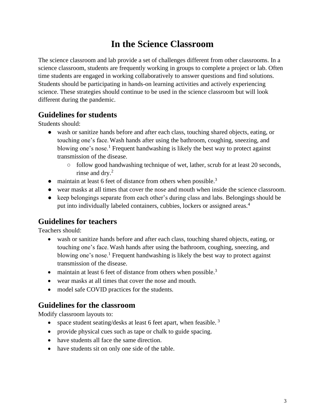## **In the Science Classroom**

<span id="page-3-0"></span>The science classroom and lab provide a set of challenges different from other classrooms. In a science classroom, students are frequently working in groups to complete a project or lab. Often time students are engaged in working collaboratively to answer questions and find solutions. Students should be participating in hands-on learning activities and actively experiencing science. These strategies should continue to be used in the science classroom but will look different during the pandemic.

#### <span id="page-3-1"></span>**Guidelines for students**

Students should:

- wash or sanitize hands before and after each class, touching shared objects, eating, or touching one's face. Wash hands after using the bathroom, coughing, sneezing, and blowing one's nose.<sup>1</sup> Frequent handwashing is likely the best way to protect against transmission of the disease.
	- follow good handwashing technique of wet, lather, scrub for at least 20 seconds, rinse and dry.<sup>2</sup>
- maintain at least 6 feet of distance from others when possible.<sup>3</sup>
- wear masks at all times that cover the nose and mouth when inside the science classroom.
- keep belongings separate from each other's during class and labs. Belongings should be put into individually labeled containers, cubbies, lockers or assigned areas.<sup>4</sup>

#### <span id="page-3-2"></span>**Guidelines for teachers**

Teachers should:

- wash or sanitize hands before and after each class, touching shared objects, eating, or touching one's face. Wash hands after using the bathroom, coughing, sneezing, and blowing one's nose.<sup>1</sup> Frequent handwashing is likely the best way to protect against transmission of the disease.
- maintain at least 6 feet of distance from others when possible.<sup>3</sup>
- wear masks at all times that cover the nose and mouth.
- model safe COVID practices for the students.

#### <span id="page-3-3"></span>**Guidelines for the classroom**

Modify classroom layouts to:

- space student seating/desks at least 6 feet apart, when feasible.<sup>3</sup>
- provide physical cues such as tape or chalk to guide spacing.
- have students all face the same direction.
- have students sit on only one side of the table.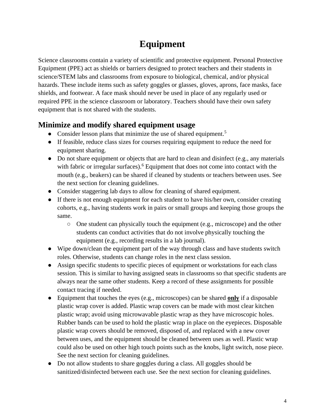## **Equipment**

<span id="page-4-0"></span>Science classrooms contain a variety of scientific and protective equipment. Personal Protective Equipment (PPE) act as shields or barriers designed to protect teachers and their students in science/STEM labs and classrooms from exposure to biological, chemical, and/or physical hazards. These include items such as safety goggles or glasses, gloves, aprons, face masks, face shields, and footwear. A face mask should never be used in place of any regularly used or required PPE in the science classroom or laboratory. Teachers should have their own safety equipment that is not shared with the students.

#### <span id="page-4-1"></span>**Minimize and modify shared equipment usage**

- Consider lesson plans that minimize the use of shared equipment.<sup>5</sup>
- If feasible, reduce class sizes for courses requiring equipment to reduce the need for equipment sharing.
- Do not share equipment or objects that are hard to clean and disinfect (e.g., any materials with fabric or irregular surfaces).<sup>6</sup> Equipment that does not come into contact with the mouth (e.g., beakers) can be shared if cleaned by students or teachers between uses. See the next section for cleaning guidelines.
- Consider staggering lab days to allow for cleaning of shared equipment.
- If there is not enough equipment for each student to have his/her own, consider creating cohorts, e.g., having students work in pairs or small groups and keeping those groups the same.
	- One student can physically touch the equipment (e.g., microscope) and the other students can conduct activities that do not involve physically touching the equipment (e.g., recording results in a lab journal).
- Wipe down/clean the equipment part of the way through class and have students switch roles. Otherwise, students can change roles in the next class session.
- Assign specific students to specific pieces of equipment or workstations for each class session. This is similar to having assigned seats in classrooms so that specific students are always near the same other students. Keep a record of these assignments for possible contact tracing if needed.
- Equipment that touches the eyes (e.g., microscopes) can be shared **only** if a disposable plastic wrap cover is added. Plastic wrap covers can be made with most clear kitchen plastic wrap; avoid using microwavable plastic wrap as they have microscopic holes. Rubber bands can be used to hold the plastic wrap in place on the eyepieces. Disposable plastic wrap covers should be removed, disposed of, and replaced with a new cover between uses, and the equipment should be cleaned between uses as well. Plastic wrap could also be used on other high touch points such as the knobs, light switch, nose piece. See the next section for cleaning guidelines.
- Do not allow students to share goggles during a class. All goggles should be sanitized/disinfected between each use. See the next section for cleaning guidelines.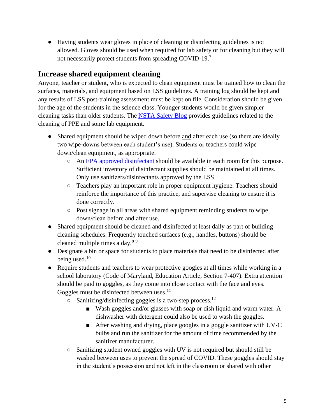● Having students wear gloves in place of cleaning or disinfecting guidelines is not allowed. Gloves should be used when required for lab safety or for cleaning but they will not necessarily protect students from spreading COVID-19.<sup>7</sup>

#### <span id="page-5-0"></span>**Increase shared equipment cleaning**

Anyone, teacher or student, who is expected to clean equipment must be trained how to clean the surfaces, materials, and equipment based on LSS guidelines. A training log should be kept and any results of LSS post-training assessment must be kept on file. Consideration should be given for the age of the students in the science class. Younger students would be given simpler cleaning tasks than older students. The [NSTA Safety Blog](https://www.nsta.org/blog/covid-19-sanitizing-lab-ppe-and-more) provides guidelines related to the cleaning of PPE and some lab equipment.

- Shared equipment should be wiped down before and after each use (so there are ideally two wipe-downs between each student's use). Students or teachers could wipe down/clean equipment, as appropriate.
	- An [EPA approved disinfectant](https://www.epa.gov/pesticide-registration/list-n-disinfectants-use-against-sars-cov-2-covid-19) should be available in each room for this purpose. Sufficient inventory of disinfectant supplies should be maintained at all times. Only use sanitizers/disinfectants approved by the LSS.
	- Teachers play an important role in proper equipment hygiene. Teachers should reinforce the importance of this practice, and supervise cleaning to ensure it is done correctly.
	- Post signage in all areas with shared equipment reminding students to wipe down/clean before and after use.
- Shared equipment should be cleaned and disinfected at least daily as part of building cleaning schedules. Frequently touched surfaces (e.g., handles, buttons) should be cleaned multiple times a day.<sup>8</sup> <sup>9</sup>
- Designate a bin or space for students to place materials that need to be disinfected after being used.<sup>10</sup>
- Require students and teachers to wear protective googles at all times while working in a school laboratory (Code of Maryland, Education Article, Section 7-407). Extra attention should be paid to goggles, as they come into close contact with the face and eyes. Goggles must be disinfected between uses. $<sup>11</sup>$ </sup>
	- $\circ$  Sanitizing/disinfecting goggles is a two-step process.<sup>12</sup>
		- Wash goggles and/or glasses with soap or dish liquid and warm water. A dishwasher with detergent could also be used to wash the goggles.
		- After washing and drying, place googles in a goggle sanitizer with UV-C bulbs and run the sanitizer for the amount of time recommended by the sanitizer manufacturer.
	- Sanitizing student owned goggles with UV is not required but should still be washed between uses to prevent the spread of COVID. These goggles should stay in the student's possession and not left in the classroom or shared with other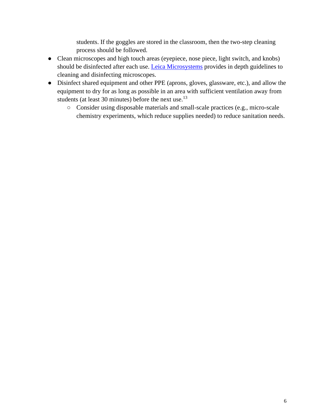students. If the goggles are stored in the classroom, then the two-step cleaning process should be followed.

- Clean microscopes and high touch areas (eyepiece, nose piece, light switch, and knobs) should be disinfected after each use. [Leica Microsystems](https://www.leica-microsystems.com/science-lab/how-to-sanitize-a-microscope/) provides in depth guidelines to cleaning and disinfecting microscopes.
- <span id="page-6-0"></span>● Disinfect shared equipment and other PPE (aprons, gloves, glassware, etc.), and allow the equipment to dry for as long as possible in an area with sufficient ventilation away from students (at least 30 minutes) before the next use.<sup>13</sup>
	- Consider using disposable materials and small-scale practices (e.g., micro-scale chemistry experiments, which reduce supplies needed) to reduce sanitation needs.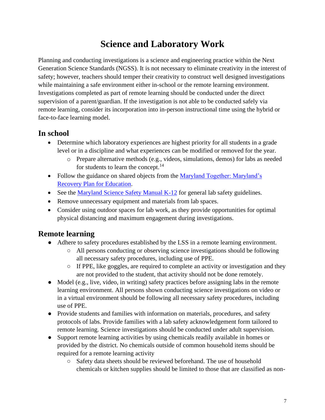## **Science and Laboratory Work**

Planning and conducting investigations is a science and engineering practice within the Next Generation Science Standards (NGSS). It is not necessary to eliminate creativity in the interest of safety; however, teachers should temper their creativity to construct well designed investigations while maintaining a safe environment either in-school or the remote learning environment. Investigations completed as part of remote learning should be conducted under the direct supervision of a parent/guardian. If the investigation is not able to be conducted safely via remote learning, consider its incorporation into in-person instructional time using the hybrid or face-to-face learning model.

## <span id="page-7-0"></span>**In school**

- Determine which laboratory experiences are highest priority for all students in a grade level or in a discipline and what experiences can be modified or removed for the year.
	- o Prepare alternative methods (e.g., videos, simulations, demos) for labs as needed for students to learn the concept.<sup>14</sup>
- Follow the guidance on shared objects from the Maryland Together: Maryland's [Recovery Plan for Education.](http://marylandpublicschools.org/newsroom/Documents/MSDERecoveryPlan.pdf)
- See the [Maryland Science Safety Manual K-12](http://marylandpublicschools.org/about/Documents/DCAA/Science/MDScienceSafetyManual.pdf) for general lab safety guidelines.
- Remove unnecessary equipment and materials from lab spaces.
- Consider using outdoor spaces for lab work, as they provide opportunities for optimal physical distancing and maximum engagement during investigations.

## <span id="page-7-1"></span>**Remote learning**

- Adhere to safety procedures established by the LSS in a remote learning environment.
	- All persons conducting or observing science investigations should be following all necessary safety procedures, including use of PPE.
	- $\circ$  If PPE, like goggles, are required to complete an activity or investigation and they are not provided to the student, that activity should not be done remotely.
- Model (e.g., live, video, in writing) safety practices before assigning labs in the remote learning environment. All persons shown conducting science investigations on video or in a virtual environment should be following all necessary safety procedures, including use of PPE.
- Provide students and families with information on materials, procedures, and safety protocols of labs. Provide families with a lab safety acknowledgement form tailored to remote learning. Science investigations should be conducted under adult supervision.
- Support remote learning activities by using chemicals readily available in homes or provided by the district. No chemicals outside of common household items should be required for a remote learning activity
	- Safety data sheets should be reviewed beforehand. The use of household chemicals or kitchen supplies should be limited to those that are classified as non-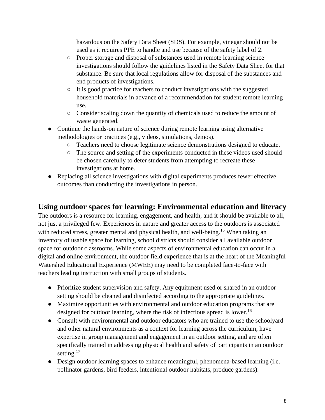hazardous on the Safety Data Sheet (SDS). For example, vinegar should not be used as it requires PPE to handle and use because of the safety label of 2.

- Proper storage and disposal of substances used in remote learning science investigations should follow the guidelines listed in the Safety Data Sheet for that substance. Be sure that local regulations allow for disposal of the substances and end products of investigations.
- It is good practice for teachers to conduct investigations with the suggested household materials in advance of a recommendation for student remote learning use.
- Consider scaling down the quantity of chemicals used to reduce the amount of waste generated.
- Continue the hands-on nature of science during remote learning using alternative methodologies or practices (e.g., videos, simulations, demos).
	- Teachers need to choose legitimate science demonstrations designed to educate.
	- The source and setting of the experiments conducted in these videos used should be chosen carefully to deter students from attempting to recreate these investigations at home.
- Replacing all science investigations with digital experiments produces fewer effective outcomes than conducting the investigations in person.

#### <span id="page-8-0"></span>**Using outdoor spaces for learning: Environmental education and literacy**

The outdoors is a resource for learning, engagement, and health, and it should be available to all, not just a privileged few. Experiences in nature and greater access to the outdoors is associated with reduced stress, greater mental and physical health, and well-being.<sup>15</sup> When taking an inventory of usable space for learning, school districts should consider all available outdoor space for outdoor classrooms. While some aspects of environmental education can occur in a digital and online environment, the outdoor field experience that is at the heart of the Meaningful Watershed Educational Experience (MWEE) may need to be completed face-to-face with teachers leading instruction with small groups of students.

- Prioritize student supervision and safety. Any equipment used or shared in an outdoor setting should be cleaned and disinfected according to the appropriate guidelines.
- Maximize opportunities with environmental and outdoor education programs that are designed for outdoor learning, where the risk of infectious spread is lower.<sup>16</sup>
- Consult with environmental and outdoor educators who are trained to use the schoolyard and other natural environments as a context for learning across the curriculum, have expertise in group management and engagement in an outdoor setting, and are often specifically trained in addressing physical health and safety of participants in an outdoor setting.<sup>17</sup>
- Design outdoor learning spaces to enhance meaningful, phenomena-based learning (i.e. pollinator gardens, bird feeders, intentional outdoor habitats, produce gardens).